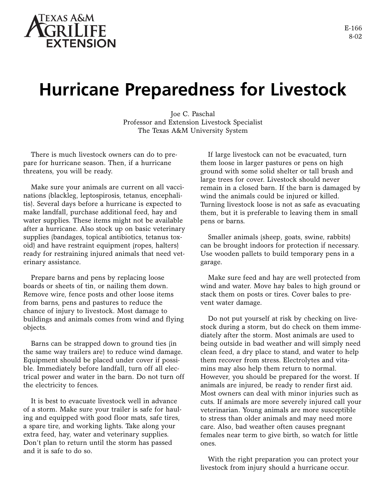

## **Hurricane Preparedness for Livestock**

Joe C. Paschal Professor and Extension Livestock Specialist The Texas A&M University System

There is much livestock owners can do to prepare for hurricane season. Then, if a hurricane threatens, you will be ready.

Make sure your animals are current on all vaccinations (blackleg, leptospirosis, tetanus, encephalitis). Several days before a hurricane is expected to make landfall, purchase additional feed, hay and water supplies. These items might not be available after a hurricane. Also stock up on basic veterinary supplies (bandages, topical antibiotics, tetanus toxoid) and have restraint equipment (ropes, halters) ready for restraining injured animals that need veterinary assistance.

Prepare barns and pens by replacing loose boards or sheets of tin, or nailing them down. Remove wire, fence posts and other loose items from barns, pens and pastures to reduce the chance of injury to livestock. Most damage to buildings and animals comes from wind and flying objects.

Barns can be strapped down to ground ties (in the same way trailers are) to reduce wind damage. Equipment should be placed under cover if possible. Immediately before landfall, turn off all electrical power and water in the barn. Do not turn off the electricity to fences.

It is best to evacuate livestock well in advance of a storm. Make sure your trailer is safe for hauling and equipped with good floor mats, safe tires, a spare tire, and working lights. Take along your extra feed, hay, water and veterinary supplies. Don't plan to return until the storm has passed and it is safe to do so.

If large livestock can not be evacuated, turn them loose in larger pastures or pens on high ground with some solid shelter or tall brush and large trees for cover. Livestock should never remain in a closed barn. If the barn is damaged by wind the animals could be injured or killed. Turning livestock loose is not as safe as evacuating them, but it is preferable to leaving them in small pens or barns.

Smaller animals (sheep, goats, swine, rabbits) can be brought indoors for protection if necessary. Use wooden pallets to build temporary pens in a garage.

Make sure feed and hay are well protected from wind and water. Move hay bales to high ground or stack them on posts or tires. Cover bales to prevent water damage.

Do not put yourself at risk by checking on livestock during a storm, but do check on them immediately after the storm. Most animals are used to being outside in bad weather and will simply need clean feed, a dry place to stand, and water to help them recover from stress. Electrolytes and vitamins may also help them return to normal. However, you should be prepared for the worst. If animals are injured, be ready to render first aid. Most owners can deal with minor injuries such as cuts. If animals are more severely injured call your veterinarian. Young animals are more susceptible to stress than older animals and may need more care. Also, bad weather often causes pregnant females near term to give birth, so watch for little ones.

With the right preparation you can protect your livestock from injury should a hurricane occur.